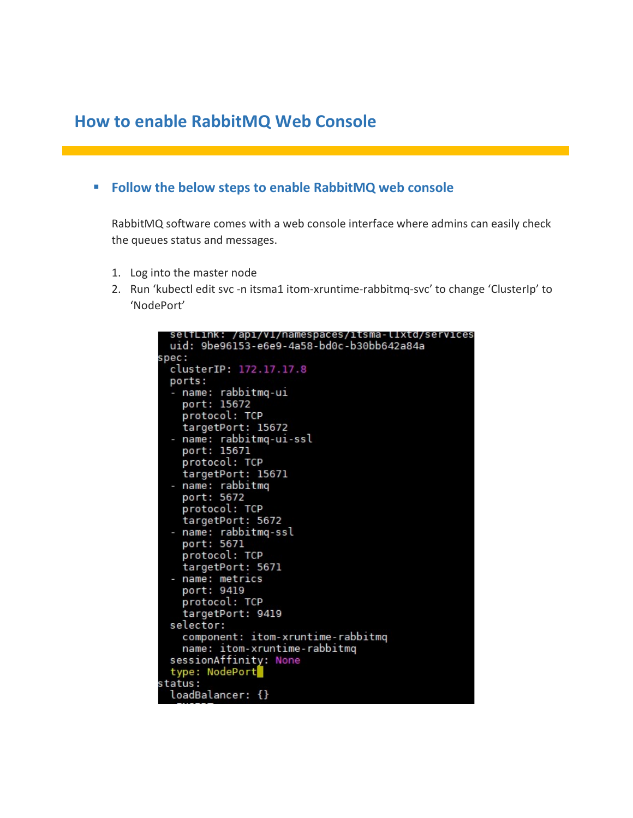## How to enable RabbitMQ Web Console

## **Follow the below steps to enable RabbitMQ web console**

RabbitMQ software comes with a web console interface where admins can easily check the queues status and messages.

- 1. Log into the master node
- 2. Run 'kubectl edit svc -n itsma1 itom-xruntime-rabbitmq-svc' to change 'ClusterIp' to 'NodePort'

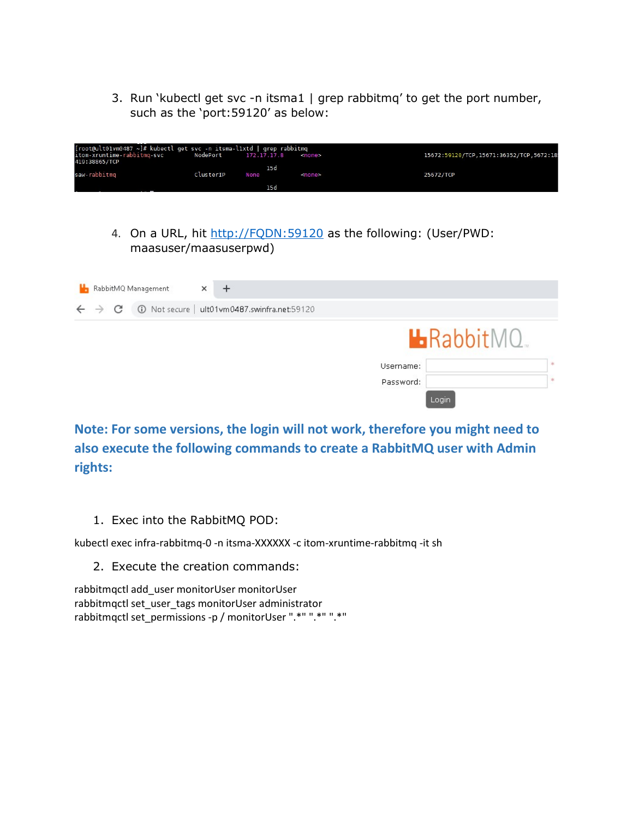3. Run 'kubectl get svc -n itsma1 | grep rabbitmq' to get the port number, such as the 'port:59120' as below:

| [root@ult01vm0487 ~]# kubectl get svc -n itsma-l1xtd   grep rabbitmg |           |                      |        |                                           |
|----------------------------------------------------------------------|-----------|----------------------|--------|-------------------------------------------|
| itom-xruntime-rabbitmg-svc                                           |           | NodePort 172.17.17.8 | ≺none≻ | 15672:59120/TCP, 15671:36352/TCP, 5672:18 |
| 419:38865/TCP                                                        |           | 15d                  |        |                                           |
| saw-rabbitmg                                                         | ClusterIP | None                 | knone> | 25672/TCP                                 |
|                                                                      |           | 15d                  |        |                                           |

4. On a URL, hit http://FQDN:59120 as the following: (User/PWD: maasuser/maasuserpwd)

|                              | RabbitMQ Management | ×                                              |           |                   |               |
|------------------------------|---------------------|------------------------------------------------|-----------|-------------------|---------------|
| $\leftarrow$ $\rightarrow$ C |                     | 120 Not secure   ult01vm0487.swinfra.net:59120 |           |                   |               |
|                              |                     |                                                |           | <b>L</b> RabbitMQ |               |
|                              |                     |                                                | Username: |                   | 宋             |
|                              |                     |                                                | Password: |                   | $\frac{1}{2}$ |
|                              |                     |                                                | Login     |                   |               |

Note: For some versions, the login will not work, therefore you might need to also execute the following commands to create a RabbitMQ user with Admin rights:

1. Exec into the RabbitMQ POD:

kubectl exec infra-rabbitmq-0 -n itsma-XXXXXX -c itom-xruntime-rabbitmq -it sh

2. Execute the creation commands:

rabbitmqctl add\_user monitorUser monitorUser rabbitmqctl set\_user\_tags monitorUser administrator rabbitmqctl set\_permissions -p / monitorUser ".\*" ".\*" ".\*"